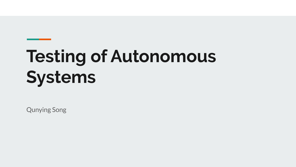# **Testing of Autonomous Systems**

Qunying Song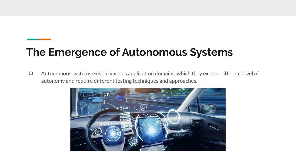### **The Emergence of Autonomous Systems**

❏ Autonomous systems exist in various application domains, which they expose different level of autonomy and require different testing techniques and approaches.

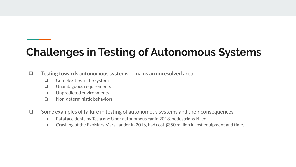### **Challenges in Testing of Autonomous Systems**

❏ Testing towards autonomous systems remains an unresolved area

- ❏ Complexities in the system
- ❏ Unambiguous requirements
- ❏ Unpredicted environments
- ❏ Non-deterministic behaviors
- ❏ Some examples of failure in testing of autonomous systems and their consequences
	- ❏ Fatal accidents by Tesla and Uber autonomous car in 2018, pedestrians killed.
	- ❏ Crashing of the ExoMars Mars Lander in 2016, had cost \$350 million in lost equipment and time.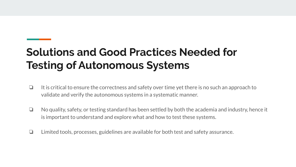## **Solutions and Good Practices Needed for Testing of Autonomous Systems**

- ❏ It is critical to ensure the correctness and safety over time yet there is no such an approach to validate and verify the autonomous systems in a systematic manner.
- ❏ No quality, safety, or testing standard has been settled by both the academia and industry, hence it is important to understand and explore what and how to test these systems.
- ❏ Limited tools, processes, guidelines are available for both test and safety assurance.